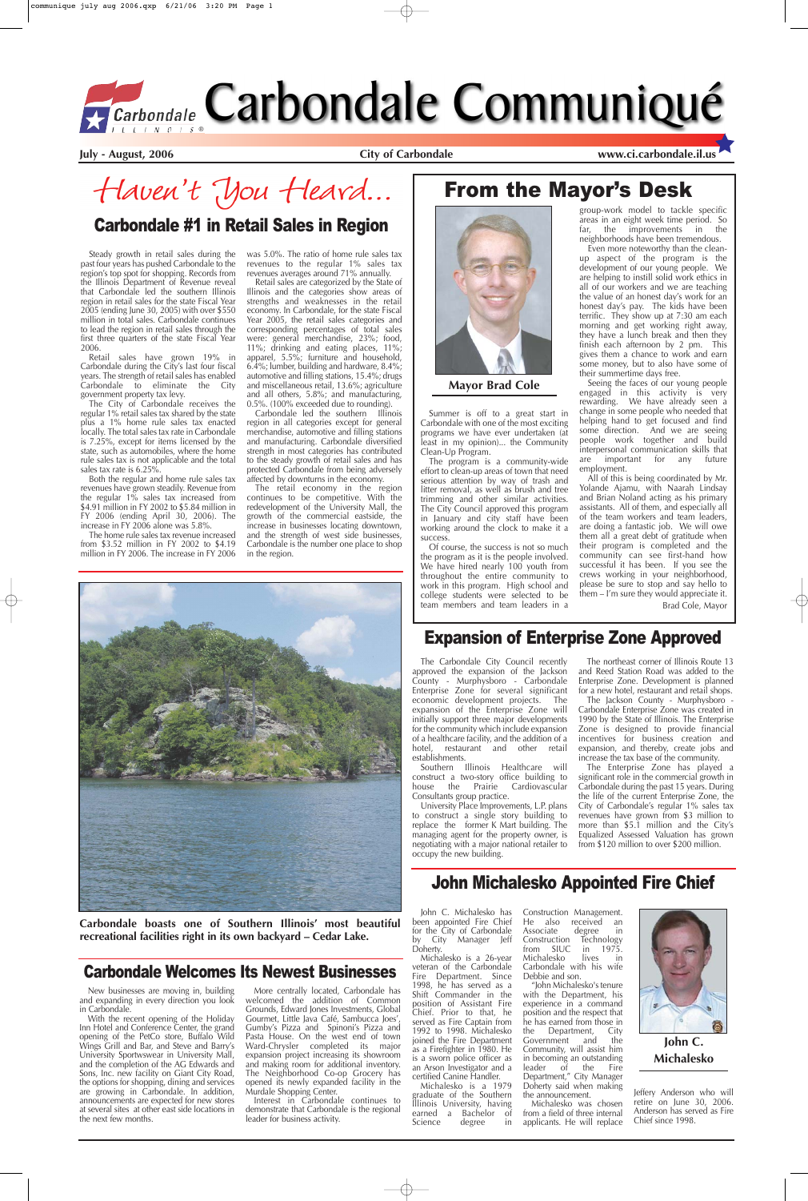Steady growth in retail sales during the past four years has pushed Carbondale to the region's top spot for shopping. Records from the Illinois Department of Revenue reveal that Carbondale led the southern Illinois region in retail sales for the state Fiscal Year 2005 (ending June 30, 2005) with over \$550 million in total sales. Carbondale continues to lead the region in retail sales through the first three quarters of the state Fiscal Year 2006.

Retail sales have grown 19% in Carbondale during the City's last four fiscal years. The strength of retail sales has enabled Carbondale to eliminate the City government property tax levy.

The City of Carbondale receives the regular 1% retail sales tax shared by the state plus a 1% home rule sales tax enacted locally. The total sales tax rate in Carbondale is 7.25%, except for items licensed by the state, such as automobiles, where the home rule sales tax is not applicable and the total sales tax rate is 6.25%.

Both the regular and home rule sales tax revenues have grown steadily. Revenue from the regular 1% sales tax increased from \$4.91 million in FY 2002 to \$5.84 million in FY 2006 (ending April 30, 2006). The increase in FY 2006 alone was 5.8%.

The home rule sales tax revenue increased from \$3.52 million in FY 2002 to \$4.19 million in FY 2006. The increase in FY 2006

The retail economy in the region continues to be competitive. With the redevelopment of the University Mall, the growth of the commercial eastside, the increase in businesses locating downtown, and the strength of west side businesses, Carbondale is the number one place to shop in the region.



was 5.0%. The ratio of home rule sales tax revenues to the regular 1% sales tax revenues averages around 71% annually.

Retail sales are categorized by the State of Illinois and the categories show areas of strengths and weaknesses in the retail economy. In Carbondale, for the state Fiscal Year 2005, the retail sales categories and corresponding percentages of total sales were: general merchandise, 23%; food, 11%; drinking and eating places, 11%; apparel, 5.5%; furniture and household, 6.4%; lumber, building and hardware, 8.4%; automotive and filling stations, 15.4%; drugs and miscellaneous retail, 13.6%; agriculture and all others, 5.8%; and manufacturing, 0.5%. (100% exceeded due to rounding).

> negotiating with a major national retailer to from \$120 million to over \$200 million. occupy the new building.

Carbondale led the southern Illinois region in all categories except for general merchandise, automotive and filling stations and manufacturing. Carbondale diversified strength in most categories has contributed to the steady growth of retail sales and has protected Carbondale from being adversely affected by downturns in the economy.

> John C. Michalesko has been appointed Fire Chief for the City of Carbondale by City Manager Jeff Doherty.

Michalesko is a 1979 graduate of the Southern Illinois University, having earned a Bachelor of<br>Science degree in degree

Haven't You Heard...

# From the Mayor's Desk



### Carbondale #1 in Retail Sales in Region

**Carbondale boasts one of Southern Illinois' most beautiful recreational facilities right in its own backyard – Cedar Lake.** 

The Carbondale City Council recently approved the expansion of the Jackson County - Murphysboro - Carbondale Enterprise Zone for several significant economic development projects. The expansion of the Enterprise Zone will initially support three major developments for the community which include expansion of a healthcare facility, and the addition of a hotel, restaurant and other retail establishments.

Southern Illinois Healthcare will construct a two-story office building to<br>house the Prairie Cardiovascular house the Prairie Consultants group practice.

University Place Improvements, L.P. plans to construct a single story building to replace the former K Mart building. The managing agent for the property owner, is

The northeast corner of Illinois Route 13 and Reed Station Road was added to the Enterprise Zone. Development is planned for a new hotel, restaurant and retail shops.

The Jackson County - Murphysboro - Carbondale Enterprise Zone was created in 1990 by the State of Illinois. The Enterprise Zone is designed to provide financial incentives for business creation and expansion, and thereby, create jobs and increase the tax base of the community.

The Enterprise Zone has played a significant role in the commercial growth in Carbondale during the past 15 years. During the life of the current Enterprise Zone, the City of Carbondale's regular 1% sales tax revenues have grown from \$3 million to more than \$5.1 million and the City's Equalized Assessed Valuation has grown



#### Expansion of Enterprise Zone Approved

Michalesko is a 26-year veteran of the Carbondale Fire Department. Since 1998, he has served as a Shift Commander in the position of Assistant Fire Chief. Prior to that, he served as Fire Captain from 1992 to 1998. Michalesko joined the Fire Department as a Firefighter in 1980. He is a sworn police officer as an Arson Investigator and a certified Canine Handler.

Construction Management. He also received an<br>Associate degree in Associate degree in<br>Construction Technology Construction Technology<br>from SIUC in 1975. in  $1975$ . Michalesko lives in Carbondale with his wife Debbie and son.

"John Michalesko's tenure with the Department, his experience in a command position and the respect that he has earned from those in the Department, City<br>Government and the Government and Community, will assist him in becoming an outstanding leader of the Fire Department," City Manager Doherty said when making the announcement.

Michalesko was chosen from a field of three internal applicants. He will replace

Jeffery Anderson who will retire on June 30, 2006. Anderson has served as Fire Chief since 1998.

### John Michalesko Appointed Fire Chief

Summer is off to a great start in Carbondale with one of the most exciting programs we have ever undertaken (at least in my opinion)... the Community Clean-Up Program.

The program is a community-wide effort to clean-up areas of town that need serious attention by way of trash and litter removal, as well as brush and tree trimming and other similar activities. The City Council approved this program in January and city staff have been working around the clock to make it a success.

Of course, the success is not so much the program as it is the people involved. We have hired nearly 100 youth from throughout the entire community to work in this program. High school and college students were selected to be team members and team leaders in a

group-work model to tackle specific areas in an eight week time period. So far, the improvements in the neighborhoods have been tremendous.

Even more noteworthy than the cleanup aspect of the program is the development of our young people. We are helping to instill solid work ethics in all of our workers and we are teaching the value of an honest day's work for an honest day's pay. The kids have been terrific. They show up at 7:30 am each morning and get working right away, they have a lunch break and then they finish each afternoon by 2 pm. This gives them a chance to work and earn some money, but to also have some of their summertime days free.

Seeing the faces of our young people engaged in this activity is very rewarding. We have already seen a change in some people who needed that helping hand to get focused and find some direction. And we are seeing people work together and build interpersonal communication skills that are important for any future employment.

All of this is being coordinated by Mr. Yolande Ajamu, with Naarah Lindsay and Brian Noland acting as his primary assistants. All of them, and especially all of the team workers and team leaders, are doing a fantastic job. We will owe them all a great debt of gratitude when their program is completed and the community can see first-hand how successful it has been. If you see the crews working in your neighborhood, please be sure to stop and say hello to them – I'm sure they would appreciate it. Brad Cole, Mayor

**Mayor Brad Cole**

New businesses are moving in, building and expanding in every direction you look in Carbondale.

With the recent opening of the Holiday Inn Hotel and Conference Center, the grand opening of the PetCo store, Buffalo Wild Wings Grill and Bar, and Steve and Barry's University Sportwswear in University Mall, and the completion of the AG Edwards and Sons, Inc. new facility on Giant City Road, the options for shopping, dining and services are growing in Carbondale. In addition, announcements are expected for new stores at several sites at other east side locations in the next few months.

More centrally located, Carbondale has welcomed the addition of Common Grounds, Edward Jones Investments, Global Gourmet, Little Java Café, Sambucca Joes', Gumby's Pizza and Spinoni's Pizza and Pasta House. On the west end of town Ward-Chrysler completed its major expansion project increasing its showroom and making room for additional inventory. The Neighborhood Co-op Grocery has opened its newly expanded facility in the Murdale Shopping Center.

Interest in Carbondale continues to demonstrate that Carbondale is the regional leader for business activity.

#### Carbondale Welcomes Its Newest Businesses



**John C. Michalesko**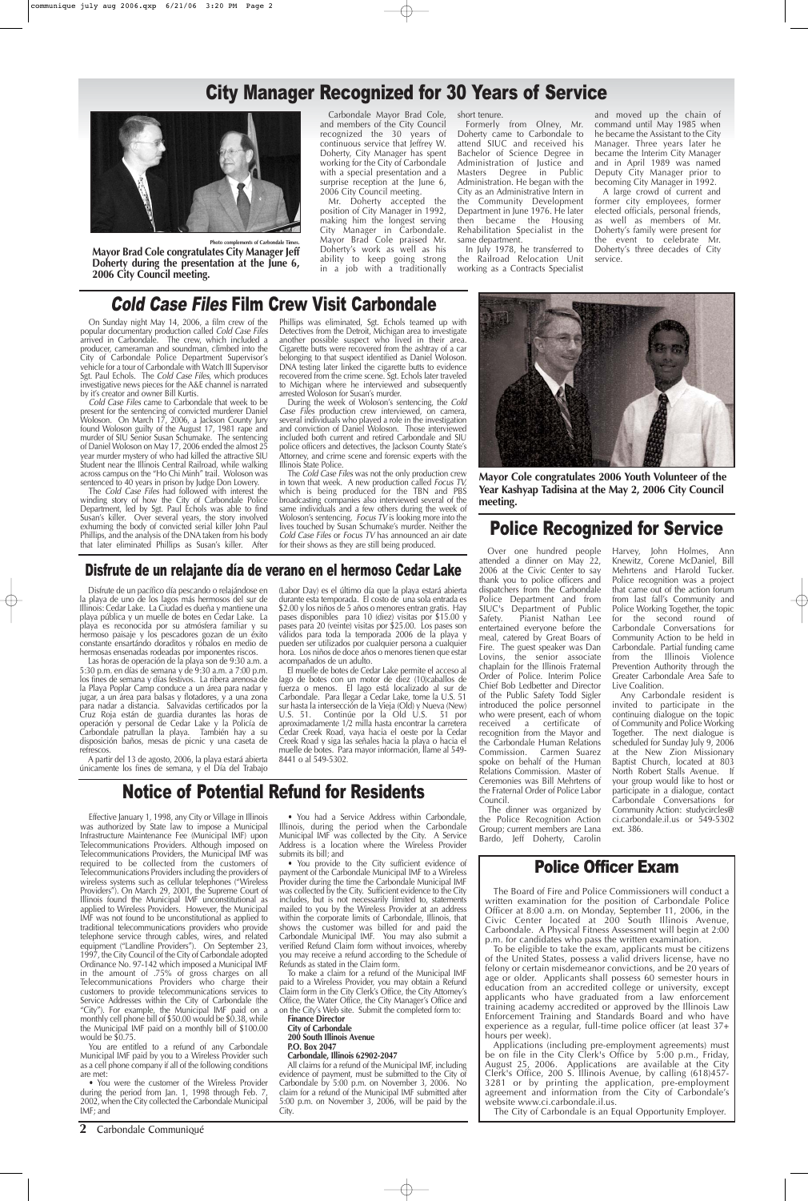**2** Carbondale Communiqué

### City Manager Recognized for 30 Years of Service

## Cold Case Files Film Crew Visit Carbondale

On Sunday night May 14, 2006, a film crew of the popular documentary production called Cold Case Files arrived in Carbondale. The crew, which included a producer, cameraman and soundman, climbed into the City of Carbondale Police Department Supervisor's vehicle for a tour of Carbondale with Watch III Supervisor Sgt. Paul Echols. The Cold Case Files, which produces investigative news pieces for the A&E channel is narrated by it's creator and owner Bill Kurtis.

The Cold Case Files had followed with interest the winding story of how the City of Carbondale Police Department, led by Sgt. Paul Echols was able to find Susan's killer. Over several years, the story involved exhuming the body of convicted serial killer John Paul Phillips, and the analysis of the DNA taken from his body that later eliminated Phillips as Susan's killer. After

Cold Case Files came to Carbondale that week to be present for the sentencing of convicted murderer Daniel Woloson. On March 17, 2006, a Jackson County Jury found Woloson guilty of the August 17, 1981 rape and murder of SIU Senior Susan Schumake. The sentencing of Daniel Woloson on May 17, 2006 ended the almost 25 year murder mystery of who had killed the attractive SIU Student near the Illinois Central Railroad, while walking across campus on the "Ho Chi Minh" trail. Woloson was sentenced to 40 years in prison by Judge Don Lowery.

The Cold Case Files was not the only production crew in town that week. A new production called Focus TV, which is being produced for the TBN and PBS broadcasting companies also interviewed several of the same individuals and a few others during the week of Woloson's sentencing. Focus TV is looking more into the lives touched by Susan Schumake's murder. Neither the Cold Case Files or Focus TV has announced an air date for their shows as they are still being produced.



Phillips was eliminated, Sgt. Echols teamed up with Detectives from the Detroit, Michigan area to investigate another possible suspect who lived in their area. Cigarette butts were recovered from the ashtray of a car belonging to that suspect identified as Daniel Woloson. DNA testing later linked the cigarette butts to evidence recovered from the crime scene. Sgt. Echols later traveled to Michigan where he interviewed and subsequently arrested Woloson for Susan's murder.

During the week of Woloson's sentencing, the Cold Case Files production crew interviewed, on camera, several individuals who played a role in the investigation and conviction of Daniel Woloson. Those interviewed included both current and retired Carbondale and SIU police officers and detectives, the Jackson County State's Attorney, and crime scene and forensic experts with the Illinois State Police.

#### Disfrute de un relajante día de verano en el hermoso Cedar Lake

#### Police Recognized for Service

Over one hundred people attended a dinner on May 22, 2006 at the Civic Center to say thank you to police officers and dispatchers from the Carbondale Police Department and from SIUC's Department of Public<br>Safety. Pianist Nathan Lee Pianist Nathan Lee entertained everyone before the meal, catered by Great Boars of Fire. The guest speaker was Dan Lovins, the senior associate chaplain for the Illinois Fraternal Order of Police. Interim Police Chief Bob Ledbetter and Director of the Public Safety Todd Sigler introduced the police personnel who were present, each of whom received a certificate of recognition from the Mayor and the Carbondale Human Relations Commission. Carmen Suarez spoke on behalf of the Human Relations Commission. Master of Ceremonies was Bill Mehrtens of the Fraternal Order of Police Labor Council.

Harvey, John Holmes, Ann Knewitz, Corene McDaniel, Bill Mehrtens and Harold Tucker. Police recognition was a project that came out of the action forum from last fall's Community and Police Working Together, the topic for the second round of Carbondale Conversations for Community Action to be held in Carbondale. Partial funding came from the Illinois Violence Prevention Authority through the Greater Carbondale Area Safe to Live Coalition. Any Carbondale resident is

The dinner was organized by the Police Recognition Action Group; current members are Lana Bardo, Jeff Doherty, Carolin ext. 386.

invited to participate in the continuing dialogue on the topic of Community and Police Working Together. The next dialogue is scheduled for Sunday July 9, 2006 at the New Zion Missionary Baptist Church, located at 803 North Robert Stalls Avenue. If your group would like to host or participate in a dialogue, contact Carbondale Conversations for Community Action: studycircles@ ci.carbondale.il.us or 549-5302

Disfrute de un pacífico día pescando o relajándose en la playa de uno de los lagos más hermosos del sur de Illinois: Cedar Lake. La Ciudad es dueña y mantiene una playa pública y un muelle de botes en Cedar Lake. La playa es reconocida por su atmósfera familiar y su hermoso paisaje y los pescadores gozan de un éxito constante ensartándo doraditos y róbalos en medio de hermosas ensenadas rodeadas por imponentes riscos.

Las horas de operación de la playa son de 9:30 a.m. a 5:30 p.m. en días de semana y de 9:30 a.m. a 7:00 p.m. los fines de semana y días festivos. La ribera arenosa de la Playa Poplar Camp conduce a un área para nadar y jugar, a un área para balsas y flotadores, y a una zona para nadar a distancia. Salvavidas certificados por la Cruz Roja están de guardia durantes las horas de operación y personal de Cedar Lake y la Policía de Carbondale patrullan la playa. También hay a su disposición baños, mesas de picnic y una caseta de refrescos.

A partir del 13 de agosto, 2006, la playa estará abierta únicamente los fines de semana, y el Día del Trabajo (Labor Day) es el último día que la playa estará abierta durante esta temporada. El costo de una sola entrada es \$2.00 y los niños de 5 años o menores entran gratis. Hay pases disponibles para 10 (diez) visitas por \$15.00 y pases para 20 (veinte) visitas por \$25.00. Los pases son válidos para toda la temporada 2006 de la playa y pueden ser utilizados por cualquier persona a cualquier hora. Los niños de doce años o menores tienen que estar acompañados de un adulto.

El muelle de botes de Cedar Lake permite el acceso al lago de botes con un motor de diez (10)caballos de fuerza o menos. El lago está localizado al sur de Carbondale. Para llegar a Cedar Lake, tome la U.S. 51 sur hasta la intersección de la Vieja (Old) y Nueva (New) U.S. 51. Continúe por la Old U.S. 51 por aproximadamente 1/2 milla hasta encontrar la carretera Cedar Creek Road, vaya hacia el oeste por la Cedar Creek Road y siga las señales hacia la playa o hacia el muelle de botes. Para mayor información, llame al 549- 8441 o al 549-5302.

Carbondale Mayor Brad Cole, and members of the City Council recognized the 30 years of continuous service that Jeffrey W. Doherty, City Manager has spent working for the City of Carbondale with a special presentation and a surprise reception at the June 6, 2006 City Council meeting.

Mr. Doherty accepted the position of City Manager in 1992, making him the longest serving City Manager in Carbondale. Mayor Brad Cole praised Mr. Doherty's work as well as his ability to keep going strong in a job with a traditionally

short tenure.

Formerly from Olney, Mr. Doherty came to Carbondale to attend SIUC and received his Bachelor of Science Degree in Administration of Justice and Masters Degree in Public Administration. He began with the City as an Administrative Intern in the Community Development Department in June 1976. He later then became the Housing Rehabilitation Specialist in the same department.

In July 1978, he transferred to the Railroad Relocation Unit working as a Contracts Specialist

and moved up the chain of command until May 1985 when he became the Assistant to the City Manager. Three years later he became the Interim City Manager and in April 1989 was named Deputy City Manager prior to becoming City Manager in 1992.

A large crowd of current and former city employees, former elected officials, personal friends, as well as members of Mr. Doherty's family were present for the event to celebrate Mr. Doherty's three decades of City service.

### Police Officer Exam

The Board of Fire and Police Commissioners will conduct a written examination for the position of Carbondale Police Officer at 8:00 a.m. on Monday, September 11, 2006, in the Civic Center located at 200 South Illinois Avenue, Carbondale. A Physical Fitness Assessment will begin at 2:00 p.m. for candidates who pass the written examination.

To be eligible to take the exam, applicants must be citizens of the United States, possess a valid drivers license, have no felony or certain misdemeanor convictions, and be 20 years of age or older. Applicants shall possess 60 semester hours in education from an accredited college or university, except applicants who have graduated from a law enforcement training academy accredited or approved by the Illinois Law Enforcement Training and Standards Board and who have experience as a regular, full-time police officer (at least 37+ hours per week).

Applications (including pre-employment agreements) must be on file in the City Clerk's Office by 5:00 p.m., Friday, August 25, 2006. Applications are available at the City Clerk's Office, 200 S. Illinois Avenue, by calling (618)457- 3281 or by printing the application, pre-employment agreement and information from the City of Carbondale's website www.ci.carbondale.il.us.

The City of Carbondale is an Equal Opportunity Employer.



**Photo complements of Carbondale Times. Mayor Brad Cole congratulates City Manager Jeff Doherty during the presentation at the June 6, 2006 City Council meeting.**

**Mayor Cole congratulates 2006 Youth Volunteer of the Year Kashyap Tadisina at the May 2, 2006 City Council meeting.**

## Notice of Potential Refund for Residents

Effective January 1, 1998, any City or Village in Illinois was authorized by State law to impose a Municipal Infrastructure Maintenance Fee (Municipal IMF) upon Telecommunications Providers. Although imposed on Telecommunications Providers, the Municipal IMF was required to be collected from the customers of Telecommunications Providers including the providers of wireless systems such as cellular telephones ("Wireless Providers"). On March 29, 2001, the Supreme Court of Illinois found the Municipal IMF unconstitutional as applied to Wireless Providers. However, the Municipal IMF was not found to be unconstitutional as applied to traditional telecommunications providers who provide telephone service through cables, wires, and related equipment ("Landline Providers"). On September 23, 1997, the City Council of the City of Carbondale adopted Ordinance No. 97-142 which imposed a Municipal IMF in the amount of .75% of gross charges on all Telecommunications Providers who charge their customers to provide telecommunications services to Service Addresses within the City of Carbondale (the "City"). For example, the Municipal IMF paid on a monthly cell phone bill of \$50.00 would be \$0.38, while the Municipal IMF paid on a monthly bill of \$100.00 would be \$0.75. You are entitled to a refund of any Carbondale Municipal IMF paid by you to a Wireless Provider such as a cell phone company if all of the following conditions are met: • You were the customer of the Wireless Provider during the period from Jan. 1, 1998 through Feb. 7, 2002, when the City collected the Carbondale Municipal IMF; and

• You had a Service Address within Carbondale, Illinois, during the period when the Carbondale Municipal IMF was collected by the City. A Service Address is a location where the Wireless Provider submits its bill; and • You provide to the City sufficient evidence of payment of the Carbondale Municipal IMF to a Wireless Provider during the time the Carbondale Municipal IMF was collected by the City. Sufficient evidence to the City includes, but is not necessarily limited to, statements mailed to you by the Wireless Provider at an address within the corporate limits of Carbondale, Illinois, that shows the customer was billed for and paid the Carbondale Municipal IMF. You may also submit a verified Refund Claim form without invoices, whereby you may receive a refund according to the Schedule of Refunds as stated in the Claim form. To make a claim for a refund of the Municipal IMF paid to a Wireless Provider, you may obtain a Refund Claim form in the City Clerk's Office, the City Attorney's Office, the Water Office, the City Manager's Office and on the City's Web site. Submit the completed form to:

#### **Finance Director City of Carbondale 200 South Illinois Avenue P.O. Box 2047**

#### **Carbondale, Illinois 62902-2047**

All claims for a refund of the Municipal IMF, including evidence of payment, must be submitted to the City of Carbondale by 5:00 p.m. on November 3, 2006. No claim for a refund of the Municipal IMF submitted after 5:00 p.m. on November 3, 2006, will be paid by the City.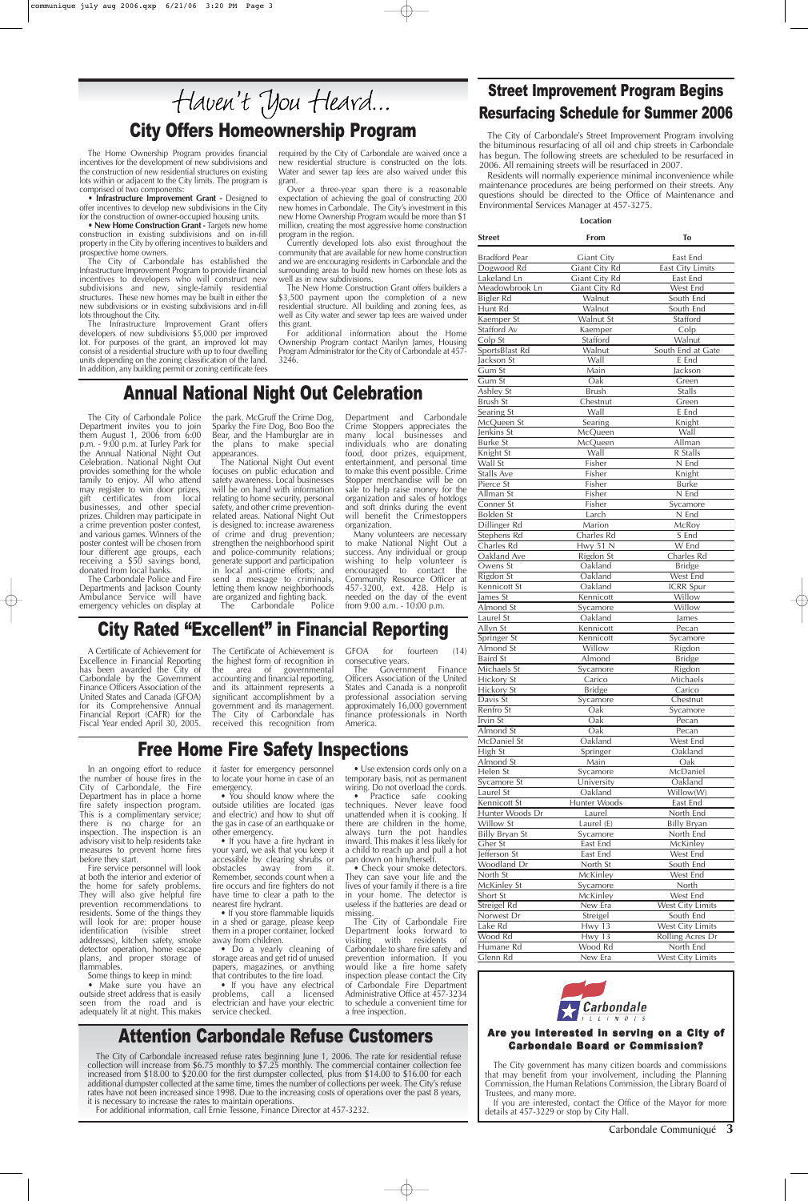In an ongoing effort to reduce the number of house fires in the City of Carbondale, the Fire Department has in place a home fire safety inspection program. This is a complimentary service; there is no charge for an inspection. The inspection is an

advisory visit to help residents take measures to prevent home fires before they start.

Fire service personnel will look at both the interior and exterior of the home for safety problems. They will also give helpful fire prevention recommendations to residents. Some of the things they will look for are: proper house identification (visible street addresses), kitchen safety, smoke detector operation, home escape plans, and proper storage of flammables.

Some things to keep in mind:

 $\bullet$  Do a yearly cleaning of storage areas and get rid of unused papers, magazines, or anything that contributes to the fire load.

• Make sure you have an outside street address that is easily seen from the road and is adequately lit at night. This makes

• If you have a fire hydrant in your yard, we ask that you keep it accessible by clearing shrubs or<br>obstacles away from it. obstacles away from it. Remember, seconds count when a fire occurs and fire fighters do not have time to clear a path to the nearest fire hydrant.

 $\bullet$  If you store flammable liquids in a shed or garage, please keep them in a proper container, locked<br>away from children.

• Use extension cords only on a temporary basis, not as permanent wiring. Do not overload the cords.<br>• Practice safe cooking

it faster for emergency personnel to locate your home in case of an emergency.

• You should know where the outside utilities are located (gas and electric) and how to shut off the gas in case of an earthquake or other emergency.

• New Home Construction Grant - Targets new home construction in existing subdivisions and on in-fill property in the City by offering incentives to builders and prospective home owners.

> • If you have any electrical problems, call a licensed electrician and have your electric service checked.

techniques. Never leave food unattended when it is cooking. If there are children in the home, always turn the pot handles inward. This makes it less likely for a child to reach up and pull a hot<br>pan down on him/herself. • Check your smoke detectors. They can save your life and the lives of your family if there is a fire in your home. The detector is useless if the batteries are dead or<br>missing. The City of Carbondale Fire Department looks forward to visiting with residents of Carbondale to share fire safety and prevention information. If you would like a fire home safety inspection please contact the City of Carbondale Fire Department Administrative Office at 457-3234 to schedule a convenient time for a free inspection.

# Haven't You Heard... City Offers Homeownership Program

Carbondale Communiqué **3**

The Home Ownership Program provides financial incentives for the development of new subdivisions and the construction of new residential structures on existing lots within or adjacent to the City limits. The program is comprised of two components:

> The National Night Out event focuses on public education and safety awareness. Local businesses will be on hand with information relating to home security, personal safety, and other crime preventionrelated areas. National Night Out is designed to: increase awareness of crime and drug prevention; strengthen the neighborhood spirit and police-community relations; generate support and participation in local anti-crime efforts; and send a message to criminals, letting them know neighborhoods are organized and fighting back.<br>The Carbondale Police Carbondale

• **Infrastructure Improvement Grant -** Designed to offer incentives to develop new subdivisions in the City for the construction of owner-occupied housing units.

The City of Carbondale has established the Infrastructure Improvement Program to provide financial incentives to developers who will construct new subdivisions and new, single-family residential structures. These new homes may be built in either the new subdivisions or in existing subdivisions and in-fill lots throughout the City.

> Many volunteers are necessary to make National Night Out a success. Any individual or group wishing to help volunteer is encouraged to contact the Community Resource Officer at 457-3200, ext. 428. Help is needed on the day of the event from 9:00 a.m. -  $10:00$  p.m.

The City of Carbondale increased refuse rates beginning June 1, 2006. The rate for residential refuse collection will increase from \$6.75 monthly to \$7.25 monthly. The commercial container collection fee increased from \$18.00 to \$20.00 for the first dumpster collected, plus from \$14.00 to \$16.00 for each additional dumpster collected at the same time, times the number of collections per week. The City's refuse rates have not been increased since 1998. Due to the increasing costs of operations over the past 8 years, it is necessary to increase the rates to maintain operations.

For additional information, call Ernie Tessone, Finance Director at 457-3232.



The Infrastructure Improvement Grant offers developers of new subdivisions \$5,000 per improved lot. For purposes of the grant, an improved lot may consist of a residential structure with up to four dwelling units depending on the zoning classification of the land. In addition, any building permit or zoning certificate fees

required by the City of Carbondale are waived once a new residential structure is constructed on the lots. Water and sewer tap fees are also waived under this grant.

Over a three-year span there is a reasonable expectation of achieving the goal of constructing 200 new homes in Carbondale. The City's investment in this new Home Ownership Program would be more than \$1 million, creating the most aggressive home construction program in the region.

Currently developed lots also exist throughout the community that are available for new home construction and we are encouraging residents in Carbondale and the surrounding areas to build new homes on these lots as well as in new subdivisions.

The New Home Construction Grant offers builders a \$3,500 payment upon the completion of a new residential structure. All building and zoning fees, as well as City water and sewer tap fees are waived under this grant.

For additional information about the Home Ownership Program contact Marilyn James, Housing Program Administrator for the City of Carbondale at 457- 3246.

# Free Home Fire Safety Inspections

The City of Carbondale Police Department invites you to join them August 1, 2006 from 6:00 p.m. - 9:00 p.m. at Turley Park for the Annual National Night Out Celebration. National Night Out provides something for the whole family to enjoy. All who attend may register to win door prizes,<br>gift certificates from local certificates from local businesses, and other special prizes. Children may participate in a crime prevention poster contest, and various games. Winners of the poster contest will be chosen from four different age groups, each receiving a \$50 savings bond, donated from local banks.

The Carbondale Police and Fire Departments and Jackson County Ambulance Service will have emergency vehicles on display at

the park. McGruff the Crime Dog, Sparky the Fire Dog, Boo Boo the Bear, and the Hamburglar are in the plans to make special appearances.

Department and Carbondale

Crime Stoppers appreciates the many local businesses and individuals who are donating food, door prizes, equipment, entertainment, and personal time to make this event possible. Crime Stopper merchandise will be on sale to help raise money for the organization and sales of hotdogs and soft drinks during the event will benefit the Crimestoppers organization.

## Annual National Night Out Celebration

### Attention Carbondale Refuse Customers

#### Are you interested in serving on a City of Carbondale Board or Commission?

The City government has many citizen boards and commissions that may benefit from your involvement, including the Planning Commission, the Human Relations Commission, the Library Board of Trustees, and many more.

If you are interested, contact the Office of the Mayor for more details at 457-3229 or stop by City Hall.

### Street Improvement Program Begins Resurfacing Schedule for Summer 2006

The City of Carbondale's Street Improvement Program involving the bituminous resurfacing of all oil and chip streets in Carbondale has begun. The following streets are scheduled to be resurfaced in 2006. All remaining streets will be resurfaced in 2007.

Residents will normally experience minimal inconvenience while maintenance procedures are being performed on their streets. Any questions should be directed to the Office of Maintenance and Environmental Services Manager at 457-3275.

#### **Location**

| Street                | From                 | To                        |
|-----------------------|----------------------|---------------------------|
| <b>Bradford Pear</b>  | <b>Giant City</b>    | East End                  |
| Dogwood Rd            | <b>Giant City Rd</b> | <b>East City Limits</b>   |
| Lakeland Ln           | Giant City Rd        | East End                  |
| Meadowbrook Ln        | Giant City Rd        | West End                  |
| Bigler Rd             | Walnut               | South End                 |
| Hunt Rd               | Walnut               | South End                 |
| Kaemper St            | Walnut St            | Stafford                  |
| Stafford Av           | Kaemper              | Colp                      |
| Colp St               | Stafford             | Walnut                    |
| SportsBlast Rd        | Walnut               | South End at Gate         |
| Jackson St            | Wall                 | E End                     |
| Gum St                | Main                 | Jackson                   |
| Gum St                | Oak                  | Green                     |
| Ashley St             | <b>Brush</b>         | <b>Stalls</b>             |
| Brush St              | Chestnut             | Green                     |
| Searing St            | Wall                 | E End                     |
| McQueen St            | Searing              | Knight                    |
| Jenkins St            | McQueen              | Wall                      |
| <b>Burke St</b>       | McQueen<br>Wall      | Allman<br><b>R</b> Stalls |
| Knight St<br>Wall St  | Fisher               | $N$ End                   |
| <b>Stalls Ave</b>     | Fisher               | Knight                    |
| Pierce St             | Fisher               | <b>Burke</b>              |
| Allman St             | Fisher               | N End                     |
| Conner St             | Fisher               | Sycamore                  |
| Bolden St             | Larch                | N End                     |
| Dillinger Rd          | Marion               | McRoy                     |
| Stephens Rd           | Charles Rd           | S End                     |
| Charles Rd            | <b>Hwy 51 N</b>      | W End                     |
| Oakland Ave           | Rigdon St            | Charles Rd                |
| Owens St              | Oakland              | <b>Bridge</b>             |
| Rigdon St             | Oakland              | West End                  |
| Kennicott St          | Oakland              | <b>ICRR</b> Spur          |
| James St              | Kennicott            | Willow                    |
| Almond St             | Sycamore             | Willow                    |
| Laurel St             | Oakland              | James                     |
| Allyn St              | Kennicott            | Pecan                     |
| Springer St           | Kennicott            | Sycamore                  |
| Almond St             | Willow               | Rigdon                    |
| <b>Baird St</b>       | Almond               | <b>Bridge</b>             |
| Michaels St           | Sycamore             | Rigdon                    |
| <b>Hickory St</b>     | Carico               | Michaels                  |
| Hickory St            | <b>Bridge</b>        | Carico                    |
| Davis St              | Sycamore             | Chestnut                  |
| Renfro St             | Oak                  | Sycamore                  |
| Irvin St              | Oak                  | Pecan                     |
| Almond St             | Oak                  | Pecan                     |
| McDaniel St           | Oakland              | West End<br>Oakland       |
| High St<br>Almond St  | Springer<br>Main     | Oak                       |
| Helen St              | Sycamore             | McDaniel                  |
| Sycamore St           | University           | Oakland                   |
| Laurel St             | Oakland              | Willow(W)                 |
| Kennicott St          | Hunter Woods         | East End                  |
| Hunter Woods Dr       | Laurel               | North End                 |
| Willow St             | Laurel (E)           | <b>Billy Bryan</b>        |
| <b>Billy Bryan St</b> | Sycamore             | North End                 |
| Gher St               | East End             | McKinley                  |
| Jefferson St          | East End             | West End                  |
| Woodland Dr           | North St             | South End                 |
| North St              | <b>McKinley</b>      | West End                  |
| McKinley St           | <b>Sycamore</b>      | <b>North</b>              |
| Short St              | McKinley             | West End                  |
| Streigel Rd           | New Era              | West City Limits          |
| Norwest Dr            | Streigel             | South End                 |
| Lake $Rd$             | Hwy 13               | West City Limits          |
| Wood Rd               | Hwy 13               | <b>Rolling Acres Dr</b>   |
| Humane Rd             | Wood Rd              | North End                 |
| Glenn Rd              | New Era              | West City Limits          |
|                       |                      |                           |

## City Rated "Excellent" in Financial Reporting

A Certificate of Achievement for Excellence in Financial Reporting has been awarded the City of Carbondale by the Government Finance Officers Association of the United States and Canada (GFOA) for its Comprehensive Annual Financial Report (CAFR) for the Fiscal Year ended April 30, 2005.

The Certificate of Achievement is the highest form of recognition in<br>the area of governmental area of governmental accounting and financial reporting, and its attainment represents a significant accomplishment by a government and its management. The City of Carbondale has received this recognition from

GFOA for fourteen (14) consecutive years.

The Government Finance Officers Association of the United States and Canada is a nonprofit professional association serving approximately 16,000 government finance professionals in North America.